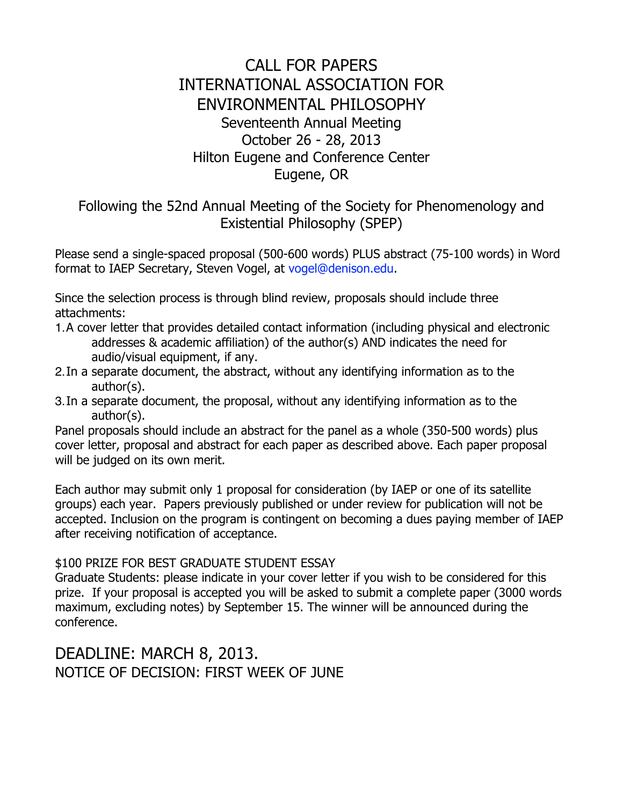## CALL FOR PAPERS INTERNATIONAL ASSOCIATION FOR ENVIRONMENTAL PHILOSOPHY Seventeenth Annual Meeting October 26 - 28, 2013 Hilton Eugene and Conference Center Eugene, OR

## Following the 52nd Annual Meeting of the Society for Phenomenology and Existential Philosophy (SPEP)

Please send a single-spaced proposal (500-600 words) PLUS abstract (75-100 words) in Word format to IAEP Secretary, Steven Vogel, at vogel@denison.edu.

Since the selection process is through blind review, proposals should include three attachments:

- 1.A cover letter that provides detailed contact information (including physical and electronic addresses & academic affiliation) of the author(s) AND indicates the need for audio/visual equipment, if any.
- 2.In a separate document, the abstract, without any identifying information as to the author(s).
- 3.In a separate document, the proposal, without any identifying information as to the author(s).

Panel proposals should include an abstract for the panel as a whole (350-500 words) plus cover letter, proposal and abstract for each paper as described above. Each paper proposal will be judged on its own merit.

Each author may submit only 1 proposal for consideration (by IAEP or one of its satellite groups) each year. Papers previously published or under review for publication will not be accepted. Inclusion on the program is contingent on becoming a dues paying member of IAEP after receiving notification of acceptance.

## \$100 PRIZE FOR BEST GRADUATE STUDENT ESSAY

Graduate Students: please indicate in your cover letter if you wish to be considered for this prize. If your proposal is accepted you will be asked to submit a complete paper (3000 words maximum, excluding notes) by September 15. The winner will be announced during the conference.

DEADLINE: MARCH 8, 2013. NOTICE OF DECISION: FIRST WEEK OF JUNE